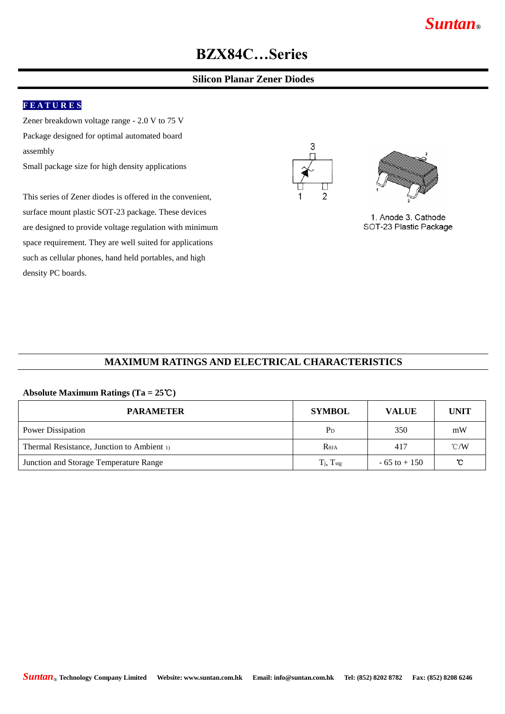# *Suntan***®**

# **BZX84C…Series**

### **Silicon Planar Zener Diodes**

### **F E A T U R E S**

Zener breakdown voltage range - 2.0 V to 75 V Package designed for optimal automated board assembly

Small package size for high density applications

This series of Zener diodes is offered in the convenient, surface mount plastic SOT-23 package. These devices are designed to provide voltage regulation with minimum space requirement. They are well suited for applications such as cellular phones, hand held portables, and high density PC boards.





1. Anode 3. Cathode SOT-23 Plastic Package

#### **MAXIMUM RATINGS AND ELECTRICAL CHARACTERISTICS**

#### **Absolute Maximum Ratings (Ta = 25**℃**)**

| <b>PARAMETER</b>                           | <b>SYMBOL</b>            | <b>VALUE</b>    | <b>UNIT</b>   |
|--------------------------------------------|--------------------------|-----------------|---------------|
| Power Dissipation                          | $P_D$                    | 350             | mW            |
| Thermal Resistance, Junction to Ambient 1) | $\rm R_{\rm \thetaJA}$   | 417             | $\degree$ C/W |
| Junction and Storage Temperature Range     | $T_j$ , $T_{\text{stg}}$ | $-65$ to $+150$ | $\mathbf C$   |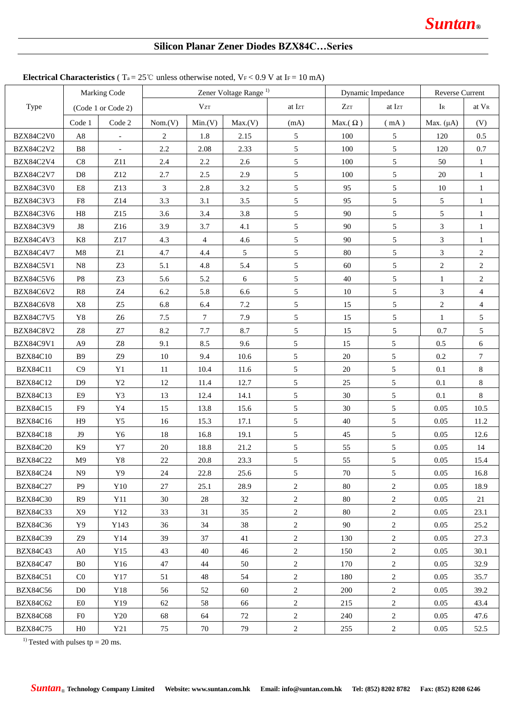## **Silicon Planar Zener Diodes BZX84C…Series**

|                  |                    |                |                                   |                |         | <b>Electrical Unaracteristics</b> ( $I_a = Z5$ U unless otherwise noted, $YF \le 0.9$ V at $F = 10$ mA) |                 |                 |                   |                  |
|------------------|--------------------|----------------|-----------------------------------|----------------|---------|---------------------------------------------------------------------------------------------------------|-----------------|-----------------|-------------------|------------------|
|                  |                    | Marking Code   | Zener Voltage Range <sup>1)</sup> |                |         | Dynamic Impedance                                                                                       |                 | Reverse Current |                   |                  |
| Type             | (Code 1 or Code 2) |                | $V_{ZT}$                          |                | at Izr  | Zz                                                                                                      | at Izr          | $I_{R}$         | at V <sub>R</sub> |                  |
|                  | Code 1             | Code 2         | Nom.(V)                           | Min.(V)        | Max.(V) | (mA)                                                                                                    | Max. $(\Omega)$ | (mA)            | Max. $(\mu A)$    | (V)              |
| BZX84C2V0        | $\rm A8$           | $\equiv$       | 2                                 | 1.8            | 2.15    | $5\overline{)}$                                                                                         | 100             | $5\overline{)}$ | 120               | 0.5              |
| <b>BZX84C2V2</b> | B <sub>8</sub>     | $\equiv$       | 2.2                               | 2.08           | 2.33    | 5                                                                                                       | 100             | 5               | 120               | 0.7              |
| BZX84C2V4        | C8                 | Z11            | 2.4                               | 2.2            | 2.6     | $\mathfrak{S}$                                                                                          | 100             | $\mathfrak{S}$  | 50                | $\mathbf{1}$     |
| <b>BZX84C2V7</b> | D <sub>8</sub>     | Z12            | 2.7                               | 2.5            | 2.9     | $5\overline{)}$                                                                                         | 100             | 5               | 20                | $\mathbf{1}$     |
| BZX84C3V0        | $\rm E8$           | Z13            | $\mathfrak{Z}$                    | $2.8\,$        | 3.2     | $\mathfrak{S}$                                                                                          | 95              | 5               | 10                | $\mathbf{1}$     |
| BZX84C3V3        | F8                 | Z14            | 3.3                               | 3.1            | 3.5     | $\mathfrak{S}$                                                                                          | 95              | 5               | $\mathfrak{S}$    | $\mathbf{1}$     |
| BZX84C3V6        | H8                 | Z15            | 3.6                               | 3.4            | 3.8     | $\mathfrak{S}$                                                                                          | 90              | 5               | 5                 | $\mathbf{1}$     |
| BZX84C3V9        | J8                 | Z16            | 3.9                               | 3.7            | 4.1     | $\mathfrak{S}$                                                                                          | 90              | $\mathfrak{S}$  | $\mathfrak{Z}$    | $\mathbf{1}$     |
| BZX84C4V3        | K8                 | Z17            | 4.3                               | $\overline{4}$ | 4.6     | $\mathfrak{S}$                                                                                          | 90              | 5               | $\mathfrak{Z}$    | $\mathbf{1}$     |
| <b>BZX84C4V7</b> | M8                 | Z1             | 4.7                               | 4.4            | 5       | $\mathfrak{S}$                                                                                          | 80              | 5               | $\mathfrak{Z}$    | $\sqrt{2}$       |
| <b>BZX84C5V1</b> | N8                 | Z <sub>3</sub> | 5.1                               | 4.8            | 5.4     | $\sqrt{5}$                                                                                              | 60              | 5               | $\sqrt{2}$        | $\sqrt{2}$       |
| BZX84C5V6        | P <sub>8</sub>     | Z <sub>3</sub> | 5.6                               | 5.2            | 6       | $\mathfrak{S}$                                                                                          | 40              | $5\overline{)}$ | 1                 | $\sqrt{2}$       |
| BZX84C6V2        | R8                 | $\rm Z4$       | 6.2                               | 5.8            | 6.6     | 5                                                                                                       | 10              | 5               | $\mathfrak{Z}$    | $\overline{4}$   |
| BZX84C6V8        | $\rm X8$           | Z <sub>5</sub> | 6.8                               | 6.4            | $7.2\,$ | 5                                                                                                       | 15              | 5               | $\sqrt{2}$        | $\overline{4}$   |
| <b>BZX84C7V5</b> | $\rm Y8$           | Z <sub>6</sub> | 7.5                               | $\tau$         | 7.9     | 5                                                                                                       | 15              | 5               | $\mathbf{1}$      | $\mathfrak{S}$   |
| <b>BZX84C8V2</b> | ${\bf Z}8$         | ${\bf Z7}$     | 8.2                               | $7.7\,$        | 8.7     | 5                                                                                                       | 15              | 5               | 0.7               | $\mathfrak{S}$   |
| BZX84C9V1        | A9                 | Z8             | 9.1                               | 8.5            | 9.6     | 5                                                                                                       | 15              | 5               | 0.5               | 6                |
| <b>BZX84C10</b>  | <b>B</b> 9         | Z9             | 10                                | 9.4            | 10.6    | 5                                                                                                       | 20              | 5               | 0.2               | $\boldsymbol{7}$ |
| <b>BZX84C11</b>  | C9                 | Y1             | 11                                | 10.4           | 11.6    | 5                                                                                                       | 20              | 5               | 0.1               | $\,8\,$          |
| <b>BZX84C12</b>  | D <sup>9</sup>     | Y2             | 12                                | 11.4           | 12.7    | 5                                                                                                       | 25              | 5               | 0.1               | $\,8\,$          |
| <b>BZX84C13</b>  | E9                 | Y3             | 13                                | 12.4           | 14.1    | 5                                                                                                       | 30              | 5               | 0.1               | $8\,$            |
| <b>BZX84C15</b>  | F <sub>9</sub>     | Y4             | 15                                | 13.8           | 15.6    | 5                                                                                                       | 30              | 5               | 0.05              | 10.5             |
| <b>BZX84C16</b>  | H9                 | Y5             | 16                                | 15.3           | 17.1    | 5                                                                                                       | 40              | 5               | 0.05              | 11.2             |
| <b>BZX84C18</b>  | J <sub>9</sub>     | Y6             | $18\,$                            | 16.8           | 19.1    | 5                                                                                                       | 45              | 5               | 0.05              | 12.6             |
| <b>BZX84C20</b>  | K <sub>9</sub>     | $\rm Y7$       | $20\,$                            | 18.8           | 21.2    | 5                                                                                                       | 55              | 5               | 0.05              | 14               |
| <b>BZX84C22</b>  | M9                 | Y8             | 22                                | 20.8           | 23.3    | 5                                                                                                       | 55              | 5               | 0.05              | 15.4             |
| <b>BZX84C24</b>  | N9                 | Y9             | 24                                | 22.8           | 25.6    | 5                                                                                                       | 70              | 5               | 0.05              | 16.8             |
| <b>BZX84C27</b>  | P <sub>9</sub>     | Y10            | 27                                | 25.1           | 28.9    | $\overline{c}$                                                                                          | 80              | $\overline{2}$  | 0.05              | 18.9             |
| <b>BZX84C30</b>  | R9                 | Y11            | 30                                | 28             | 32      | $\overline{c}$                                                                                          | 80              | $\overline{2}$  | 0.05              | 21               |
| <b>BZX84C33</b>  | X9                 | Y12            | 33                                | 31             | 35      | $\overline{2}$                                                                                          | 80              | 2               | 0.05              | 23.1             |
| <b>BZX84C36</b>  | Y9                 | Y143           | 36                                | 34             | 38      | $\overline{c}$                                                                                          | 90              | $\overline{2}$  | 0.05              | 25.2             |
| <b>BZX84C39</b>  | Z9                 | Y14            | 39                                | 37             | 41      | $\overline{c}$                                                                                          | 130             | 2               | 0.05              | 27.3             |
| <b>BZX84C43</b>  | A <sub>0</sub>     | Y15            | 43                                | 40             | 46      | $\overline{c}$                                                                                          | 150             | $\overline{c}$  | 0.05              | 30.1             |
| <b>BZX84C47</b>  | B <sub>0</sub>     | Y16            | 47                                | 44             | 50      | $\overline{c}$                                                                                          | 170             | $\overline{2}$  | 0.05              | 32.9             |
| <b>BZX84C51</b>  | C <sub>0</sub>     | Y17            | 51                                | 48             | 54      | $\overline{c}$                                                                                          | 180             | $\overline{c}$  | 0.05              | 35.7             |
| <b>BZX84C56</b>  | D <sub>0</sub>     | Y18            | 56                                | 52             | 60      | $\overline{c}$                                                                                          | 200             | $\overline{2}$  | 0.05              | 39.2             |
| <b>BZX84C62</b>  | E0                 | Y19            | 62                                | 58             | 66      | $\overline{c}$                                                                                          | 215             | $\overline{c}$  | 0.05              | 43.4             |
| <b>BZX84C68</b>  | F <sub>0</sub>     | Y20            | 68                                | 64             | 72      | $\overline{c}$                                                                                          | 240             | $\overline{c}$  | 0.05              | 47.6             |
| <b>BZX84C75</b>  | H <sub>0</sub>     | Y21            | 75                                | 70             | 79      | $\overline{c}$                                                                                          | 255             | $\overline{c}$  | 0.05              | 52.5             |

#### **Electrical Characteristics** ( $T_a = 25^\circ \text{C}$  unless otherwise noted,  $V_F < 0.9 \text{ V}$  at IF = 10 mA)

<sup>1)</sup> Tested with pulses tp = 20 ms.